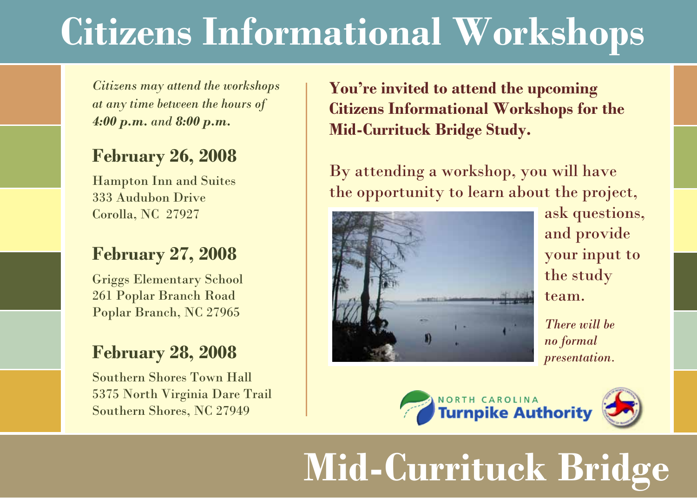## **Citizens Informational Workshops**

*Citizens may attend the workshops at any time between the hours of 4:00 p.m. and 8:00 p.m.*

#### **February 26, 2008**

Hampton Inn and Suites 333 Audubon Drive Corolla, NC 27927

#### **February 27, 2008**

Griggs Elementary School 261 Poplar Branch Road Poplar Branch, NC 27965

### **February 28, 2008**

Southern Shores Town Hall 5375 North Virginia Dare Trail Southern Shores, NC 27949

**You're invited to attend the upcoming Citizens Informational Workshops for the Mid-Currituck Bridge Study.** 

By attending a workshop, you will have the opportunity to learn about the project,



ask questions, and provide your input to the study team.

*There will be no formal presentation.*





# **Mid-Currituck Bridge**